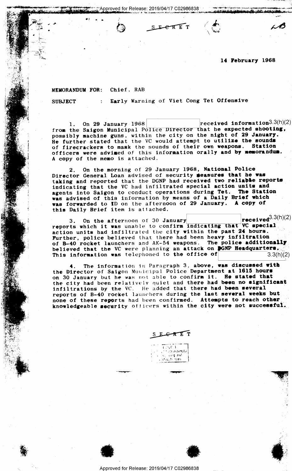14 February 1968

 $\sqrt{\frac{m_0}{m_0}}$ 

 $\mathcal{N}(\mathcal{N}) \leq \mathcal{N}(\mathcal{N})$  . In the second sequence of the second sequence of  $\mathcal{N}(\mathcal{N})$ 

. .

'»?1.""l 1-w. tr.

"M

-e

## MEMORANDUM FOR: Chief. RAB

4." .. \\*  $G$  ,  $T$  ,  $\mathbb{R}$  .

SUBJECT : Early Warning of Viet Cong Tet Offensive

i'jApprQved for Release: 2019/04/17 002988888 - -. . . . ,» ,. .\_ . . . ,\_\_ It' ah." 'I 'V; Jbdb gm' w. I . - .;-—--—.' '-=' :> - ~.4':\<-~~ '.- ' ' " ' ' Q v' new M an

 $S$  berefr  $\left(\bigotimes$ 

1. On 29 January 1968 [Teceived information3.3(n)(2) [The Saison Municipal Religion in that he expected shooting. from the Saigon Municipal Police Director that he expected shooting, possibly machine guns, within the city on the night of 29 January. He further stated that the VC would attempt to utilize the sounds of firecrackers to mask the sounds of their own weapons. Station officers were advised of this information orally and by memorandum. A copy of the memo is attached.

2. On the morning of 29 January 1968, National Police Director General Loan advised of security seasures that he was taking and reported that the DGNP had received two reliable reports indicating that the VC had infiltrated special action units and agents into Saigon to conduct operations during Tet. The Station was advised of this information by means of a Daily Brief which ... was forwarded to ID on the afternoon of 29 January. A copy of this Daily Brief item is attached.

3. On the afternoon of 30 January  $\begin{array}{c|c} \text{received}^{(1)}(\mathbf{r}) \end{array}$ reports which it was unable to confirm indicating that VC special<br>action units had infiltrated the city within the past 24 hours. Further, police believed that there had been heavy infiltration of B-40 rocket launchers and AK-54 weapons. The police additionally believed that the VC were planning an attack on **DGNP Headquarters**,  $\frac{1}{2}$ <br>This information was telephoned to the office of  $\begin{bmatrix} 3.3(h)/2 \end{bmatrix}$ This information was telephoned to the office of

4. The information in Paragraph 3, above, was discussed with the Director of Saigon Municipal Police Department at 1615 hours on 30 January but he was not able to confirm it. He stated that the city had been relatively quiet and there had been no significant. infiltrations by the VC. He added that there had been several reports of B-40 rocket launchers during the last several weeks but none of these reports had been confirmed. Attempts to reach other knowledgeable security officers within the city were not successful.

 $F$  $F$  $T$ n 1 Tour 1 (1947)<br>"I ceanna fililleire i vitalilleire"<br>"I se constant fililleire i vitalilleire" (1947) t  $\ell\in\mathbb{R}$  and  $\ell\in\mathbb{R}$ 

('-ital? 'HUT! . .~...-....»\_\_---a...-\_

" "" "The company of the company of the company of the company of the company of the company of the company of the company of the company of the company of the company of the company of the company of the company of the co



**1997** 



Approved for Release: 2019/04/17 C02986838